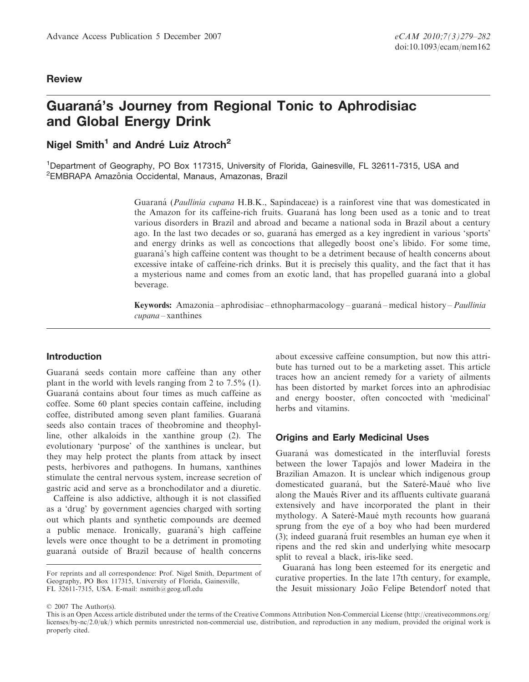#### **Review**

# Guaraná's Journey from Regional Tonic to Aphrodisiac and Global Energy Drink

# Nigel Smith<sup>1</sup> and André Luiz Atroch<sup>2</sup>

<sup>1</sup>Department of Geography, PO Box 117315, University of Florida, Gainesville, FL 32611-7315, USA and <sup>2</sup> EMBRAPA Amazônia Occidental, Manaus, Amazonas, Brazil

> Guaraná (Paullinia cupana H.B.K., Sapindaceae) is a rainforest vine that was domesticated in the Amazon for its caffeine-rich fruits. Guaraná has long been used as a tonic and to treat various disorders in Brazil and abroad and became a national soda in Brazil about a century ago. In the last two decades or so, guaraná has emerged as a key ingredient in various 'sports' and energy drinks as well as concoctions that allegedly boost one's libido. For some time, guarana´'s high caffeine content was thought to be a detriment because of health concerns about excessive intake of caffeine-rich drinks. But it is precisely this quality, and the fact that it has a mysterious name and comes from an exotic land, that has propelled guarana´ into a global beverage.

Keywords: Amazonia – aphrodisiac – ethnopharmacology – guaraná – medical history – Paullinia cupana – xanthines

#### Introduction

Guaraná seeds contain more caffeine than any other plant in the world with levels ranging from 2 to 7.5% (1). Guaraná contains about four times as much caffeine as coffee. Some 60 plant species contain caffeine, including coffee, distributed among seven plant families. Guaraná seeds also contain traces of theobromine and theophylline, other alkaloids in the xanthine group (2). The evolutionary 'purpose' of the xanthines is unclear, but they may help protect the plants from attack by insect pests, herbivores and pathogens. In humans, xanthines stimulate the central nervous system, increase secretion of gastric acid and serve as a bronchodilator and a diuretic.

Caffeine is also addictive, although it is not classified as a 'drug' by government agencies charged with sorting out which plants and synthetic compounds are deemed a public menace. Ironically, guaraná's high caffeine levels were once thought to be a detriment in promoting guarana´ outside of Brazil because of health concerns about excessive caffeine consumption, but now this attribute has turned out to be a marketing asset. This article traces how an ancient remedy for a variety of ailments has been distorted by market forces into an aphrodisiac and energy booster, often concocted with 'medicinal' herbs and vitamins.

#### Origins and Early Medicinal Uses

Guaraná was domesticated in the interfluvial forests between the lower Tapajós and lower Madeira in the Brazilian Amazon. It is unclear which indigenous group domesticated guaraná, but the Sateré-Maué who live along the Maués River and its affluents cultivate guaraná extensively and have incorporated the plant in their mythology. A Sateré-Maué myth recounts how guaraná sprung from the eye of a boy who had been murdered (3); indeed guaraná fruit resembles an human eye when it ripens and the red skin and underlying white mesocarp split to reveal a black, iris-like seed.

Guaraná has long been esteemed for its energetic and curative properties. In the late 17th century, for example, the Jesuit missionary João Felipe Betendorf noted that

For reprints and all correspondence: Prof. Nigel Smith, Department of Geography, PO Box 117315, University of Florida, Gainesville, FL 32611-7315, USA. E-mail: nsmith@geog.ufl.edu

<sup>© 2007</sup> The Author(s).

This is an Open Access article distributed under the terms of the Creative Commons Attribution Non-Commercial License (http://creativecommons.org/ licenses/by-nc/2.0/uk/) which permits unrestricted non-commercial use, distribution, and reproduction in any medium, provided the original work is properly cited.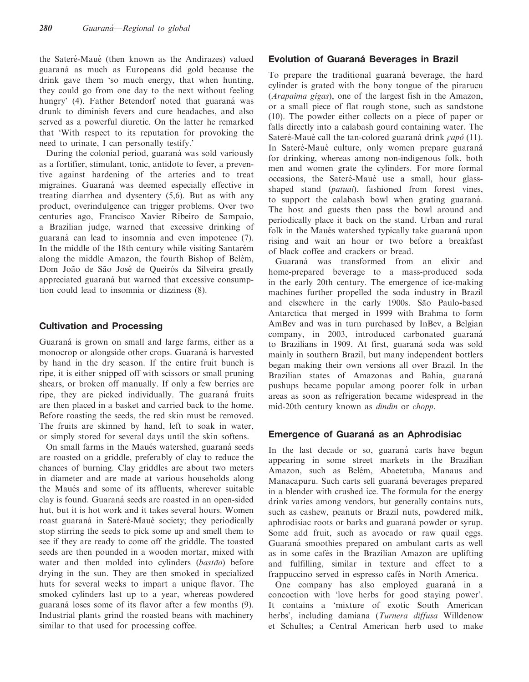the Sateré-Maué (then known as the Andirazes) valued guaraná as much as Europeans did gold because the drink gave them 'so much energy, that when hunting, they could go from one day to the next without feeling hungry' (4). Father Betendorf noted that guaraná was drunk to diminish fevers and cure headaches, and also served as a powerful diuretic. On the latter he remarked that 'With respect to its reputation for provoking the need to urinate, I can personally testify.'

During the colonial period, guaraná was sold variously as a fortifier, stimulant, tonic, antidote to fever, a preventive against hardening of the arteries and to treat migraines. Guaraná was deemed especially effective in treating diarrhea and dysentery (5,6). But as with any product, overindulgence can trigger problems. Over two centuries ago, Francisco Xavier Ribeiro de Sampaio, a Brazilian judge, warned that excessive drinking of guaraná can lead to insomnia and even impotence (7). In the middle of the 18th century while visiting Santarém along the middle Amazon, the fourth Bishop of Belém, Dom João de São José de Queirós da Silveira greatly appreciated guaraná but warned that excessive consumption could lead to insomnia or dizziness (8).

# Cultivation and Processing

Guaraná is grown on small and large farms, either as a monocrop or alongside other crops. Guaraná is harvested by hand in the dry season. If the entire fruit bunch is ripe, it is either snipped off with scissors or small pruning shears, or broken off manually. If only a few berries are ripe, they are picked individually. The guaraná fruits are then placed in a basket and carried back to the home. Before roasting the seeds, the red skin must be removed. The fruits are skinned by hand, left to soak in water, or simply stored for several days until the skin softens.

On small farms in the Maués watershed, guaraná seeds are roasted on a griddle, preferably of clay to reduce the chances of burning. Clay griddles are about two meters in diameter and are made at various households along the Maués and some of its affluents, wherever suitable clay is found. Guaraná seeds are roasted in an open-sided hut, but it is hot work and it takes several hours. Women roast guaraná in Sateré-Maué society; they periodically stop stirring the seeds to pick some up and smell them to see if they are ready to come off the griddle. The toasted seeds are then pounded in a wooden mortar, mixed with water and then molded into cylinders (bastão) before drying in the sun. They are then smoked in specialized huts for several weeks to impart a unique flavor. The smoked cylinders last up to a year, whereas powdered guaraná loses some of its flavor after a few months (9). Industrial plants grind the roasted beans with machinery similar to that used for processing coffee.

# Evolution of Guaraná Beverages in Brazil

To prepare the traditional guarana<sup>'</sup> beverage, the hard cylinder is grated with the bony tongue of the pirarucu (Arapaima gigas), one of the largest fish in the Amazon, or a small piece of flat rough stone, such as sandstone (10). The powder either collects on a piece of paper or falls directly into a calabash gourd containing water. The Sateré-Maué call the tan-colored guaraná drink  $\epsilon$ apó (11). In Sateré-Maué culture, only women prepare guaraná for drinking, whereas among non-indigenous folk, both men and women grate the cylinders. For more formal occasions, the Sateré-Maué use a small, hour glassshaped stand (patuai), fashioned from forest vines, to support the calabash bowl when grating guaraná. The host and guests then pass the bowl around and periodically place it back on the stand. Urban and rural folk in the Maués watershed typically take guaraná upon rising and wait an hour or two before a breakfast of black coffee and crackers or bread.

Guaraná was transformed from an elixir and home-prepared beverage to a mass-produced soda in the early 20th century. The emergence of ice-making machines further propelled the soda industry in Brazil and elsewhere in the early 1900s. São Paulo-based Antarctica that merged in 1999 with Brahma to form AmBev and was in turn purchased by InBev, a Belgian company, in 2003, introduced carbonated guaraná to Brazilians in 1909. At first, guaraná soda was sold mainly in southern Brazil, but many independent bottlers began making their own versions all over Brazil. In the Brazilian states of Amazonas and Bahia, guaraná pushups became popular among poorer folk in urban areas as soon as refrigeration became widespread in the mid-20th century known as dindin or chopp.

### Emergence of Guaraná as an Aphrodisiac

In the last decade or so, guaraná carts have begun appearing in some street markets in the Brazilian Amazon, such as Belém, Abaetetuba, Manaus and Manacapuru. Such carts sell guaraná beverages prepared in a blender with crushed ice. The formula for the energy drink varies among vendors, but generally contains nuts, such as cashew, peanuts or Brazil nuts, powdered milk, aphrodisiac roots or barks and guarana<sup>p</sup> powder or syrup. Some add fruit, such as avocado or raw quail eggs. Guaraná smoothies prepared on ambulant carts as well as in some cafés in the Brazilian Amazon are uplifting and fulfilling, similar in texture and effect to a frappuccino served in espresso cafés in North America.

One company has also employed guaraná in a concoction with 'love herbs for good staying power'. It contains a 'mixture of exotic South American herbs', including damiana (Turnera diffusa Willdenow et Schultes; a Central American herb used to make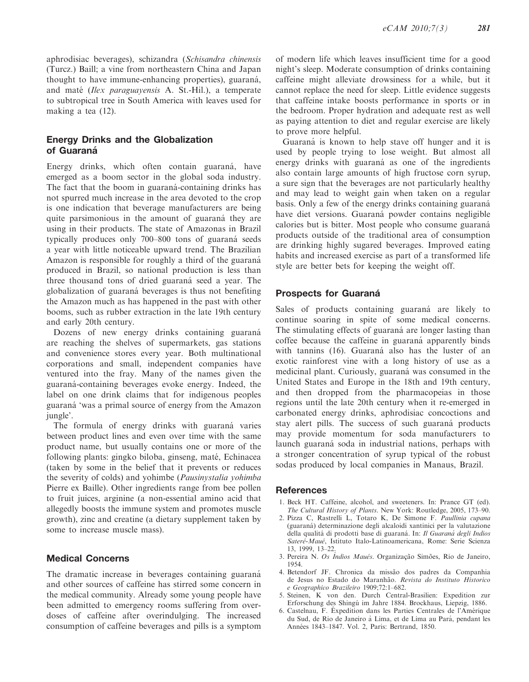aphrodisiac beverages), schizandra (Schisandra chinensis (Turcz.) Baill; a vine from northeastern China and Japan thought to have immune-enhancing properties), guaraná, and maté *(Ilex paraguayensis* A. St.-Hil.), a temperate to subtropical tree in South America with leaves used for making a tea (12).

# Energy Drinks and the Globalization of Guaraná

Energy drinks, which often contain guaraná, have emerged as a boom sector in the global soda industry. The fact that the boom in guaraná-containing drinks has not spurred much increase in the area devoted to the crop is one indication that beverage manufacturers are being quite parsimonious in the amount of guarana<sup>t</sup> they are using in their products. The state of Amazonas in Brazil typically produces only 700–800 tons of guarana<sup>c</sup> seeds a year with little noticeable upward trend. The Brazilian Amazon is responsible for roughly a third of the guarana<sup>'</sup> produced in Brazil, so national production is less than three thousand tons of dried guaraná seed a year. The globalization of guaraná beverages is thus not benefiting the Amazon much as has happened in the past with other booms, such as rubber extraction in the late 19th century and early 20th century.

Dozens of new energy drinks containing guaraná are reaching the shelves of supermarkets, gas stations and convenience stores every year. Both multinational corporations and small, independent companies have ventured into the fray. Many of the names given the guarana´-containing beverages evoke energy. Indeed, the label on one drink claims that for indigenous peoples guaraná 'was a primal source of energy from the Amazon jungle'.

The formula of energy drinks with guaraná varies between product lines and even over time with the same product name, but usually contains one or more of the following plants: gingko biloba, ginseng, maté, Echinacea (taken by some in the belief that it prevents or reduces the severity of colds) and yohimbe (Pausinystalia yohimba Pierre ex Baille). Other ingredients range from bee pollen to fruit juices, arginine (a non-essential amino acid that allegedly boosts the immune system and promotes muscle growth), zinc and creatine (a dietary supplement taken by some to increase muscle mass).

#### Medical Concerns

The dramatic increase in beverages containing guaraná and other sources of caffeine has stirred some concern in the medical community. Already some young people have been admitted to emergency rooms suffering from overdoses of caffeine after overindulging. The increased consumption of caffeine beverages and pills is a symptom of modern life which leaves insufficient time for a good night's sleep. Moderate consumption of drinks containing caffeine might alleviate drowsiness for a while, but it cannot replace the need for sleep. Little evidence suggests that caffeine intake boosts performance in sports or in the bedroom. Proper hydration and adequate rest as well as paying attention to diet and regular exercise are likely to prove more helpful.

Guaraná is known to help stave off hunger and it is used by people trying to lose weight. But almost all energy drinks with guaraná as one of the ingredients also contain large amounts of high fructose corn syrup, a sure sign that the beverages are not particularly healthy and may lead to weight gain when taken on a regular basis. Only a few of the energy drinks containing guaraná have diet versions. Guaraná powder contains negligible calories but is bitter. Most people who consume guaraná products outside of the traditional area of consumption are drinking highly sugared beverages. Improved eating habits and increased exercise as part of a transformed life style are better bets for keeping the weight off.

### Prospects for Guaraná

Sales of products containing guaraná are likely to continue soaring in spite of some medical concerns. The stimulating effects of guarana<sup>'</sup> are longer lasting than coffee because the caffeine in guarana<sup>'</sup> apparently binds with tannins (16). Guaraná also has the luster of an exotic rainforest vine with a long history of use as a medicinal plant. Curiously, guaraná was consumed in the United States and Europe in the 18th and 19th century, and then dropped from the pharmacopeias in those regions until the late 20th century when it re-emerged in carbonated energy drinks, aphrodisiac concoctions and stay alert pills. The success of such guaraná products may provide momentum for soda manufacturers to launch guaraná soda in industrial nations, perhaps with a stronger concentration of syrup typical of the robust sodas produced by local companies in Manaus, Brazil.

#### **References**

- 1. Beck HT. Caffeine, alcohol, and sweeteners. In: Prance GT (ed). The Cultural History of Plants. New York: Routledge, 2005, 173–90.
- 2. Pizza C, Rastrelli L, Totaro K, De Simone F. Paullinia cupana (guarana´) determinazione degli alcaloidi xantinici per la valutazione della qualitá di prodotti base di guaraná. In: Il Guaraná degli Indios Sateré-Maué, Istituto Italo-Latinoamericana, Rome: Serie Scienza 13, 1999, 13–22.
- 3. Pereira N. Os Índios Maués. Organização Simões, Rio de Janeiro, 1954.
- 4. Betendorf JF. Chronica da missão dos padres da Companhia de Jesus no Estado do Maranhão. Revista do Instituto Historico e Geographico Brazileiro 1909;72:1–682.
- 5. Steinen, K von den. Durch Central-Brasilien: Expedition zur Erforschung des Shingú im Jahre 1884. Brockhaus, Liepzig, 1886.
- 6. Castelnau, F. Expedition dans les Parties Centrales de l'Amérique du Sud, de Rio de Janeiro à Lima, et de Lima au Pará, pendant les Années 1843–1847. Vol. 2, Paris: Bertrand, 1850.